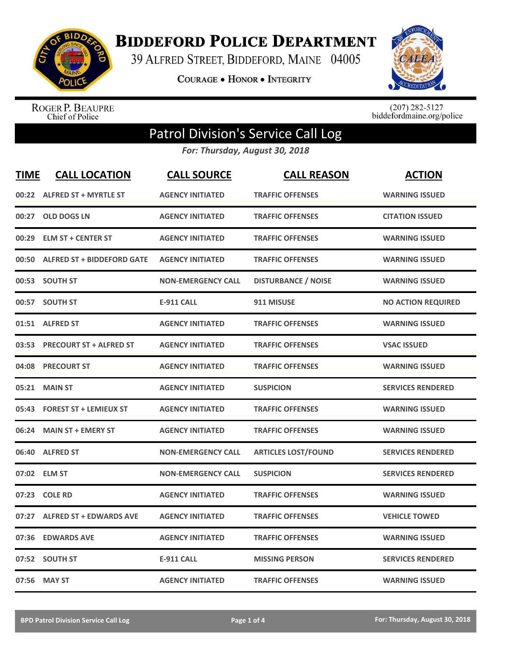

**BIDDEFORD POLICE DEPARTMENT** 

39 ALFRED STREET, BIDDEFORD, MAINE 04005

**COURAGE . HONOR . INTEGRITY** 



ROGER P. BEAUPRE<br>Chief of Police

 $(207)$  282-5127<br>biddefordmaine.org/police

## Patrol Division's Service Call Log

*For: Thursday, August 30, 2018*

| <b>TIME</b> | <b>CALL LOCATION</b>              | <b>CALL SOURCE</b>        | <b>CALL REASON</b>         | <b>ACTION</b>             |
|-------------|-----------------------------------|---------------------------|----------------------------|---------------------------|
| 00:22       | <b>ALFRED ST + MYRTLE ST</b>      | <b>AGENCY INITIATED</b>   | <b>TRAFFIC OFFENSES</b>    | <b>WARNING ISSUED</b>     |
| 00:27       | <b>OLD DOGS LN</b>                | <b>AGENCY INITIATED</b>   | <b>TRAFFIC OFFENSES</b>    | <b>CITATION ISSUED</b>    |
| 00:29       | <b>ELM ST + CENTER ST</b>         | <b>AGENCY INITIATED</b>   | <b>TRAFFIC OFFENSES</b>    | <b>WARNING ISSUED</b>     |
| 00:50       | <b>ALFRED ST + BIDDEFORD GATE</b> | <b>AGENCY INITIATED</b>   | <b>TRAFFIC OFFENSES</b>    | <b>WARNING ISSUED</b>     |
|             | 00:53 SOUTH ST                    | <b>NON-EMERGENCY CALL</b> | <b>DISTURBANCE / NOISE</b> | <b>WARNING ISSUED</b>     |
|             | 00:57 SOUTH ST                    | <b>E-911 CALL</b>         | 911 MISUSE                 | <b>NO ACTION REQUIRED</b> |
|             | 01:51 ALFRED ST                   | <b>AGENCY INITIATED</b>   | <b>TRAFFIC OFFENSES</b>    | <b>WARNING ISSUED</b>     |
| 03:53       | <b>PRECOURT ST + ALFRED ST</b>    | <b>AGENCY INITIATED</b>   | <b>TRAFFIC OFFENSES</b>    | <b>VSAC ISSUED</b>        |
|             | 04:08 PRECOURT ST                 | <b>AGENCY INITIATED</b>   | <b>TRAFFIC OFFENSES</b>    | <b>WARNING ISSUED</b>     |
| 05:21       | <b>MAIN ST</b>                    | <b>AGENCY INITIATED</b>   | <b>SUSPICION</b>           | <b>SERVICES RENDERED</b>  |
|             | 05:43 FOREST ST + LEMIEUX ST      | <b>AGENCY INITIATED</b>   | <b>TRAFFIC OFFENSES</b>    | <b>WARNING ISSUED</b>     |
| 06:24       | <b>MAIN ST + EMERY ST</b>         | <b>AGENCY INITIATED</b>   | <b>TRAFFIC OFFENSES</b>    | <b>WARNING ISSUED</b>     |
| 06:40       | <b>ALFRED ST</b>                  | <b>NON-EMERGENCY CALL</b> | <b>ARTICLES LOST/FOUND</b> | <b>SERVICES RENDERED</b>  |
| 07:02       | <b>ELM ST</b>                     | <b>NON-EMERGENCY CALL</b> | <b>SUSPICION</b>           | <b>SERVICES RENDERED</b>  |
| 07:23       | <b>COLE RD</b>                    | <b>AGENCY INITIATED</b>   | <b>TRAFFIC OFFENSES</b>    | <b>WARNING ISSUED</b>     |
| 07:27       | <b>ALFRED ST + EDWARDS AVE</b>    | <b>AGENCY INITIATED</b>   | <b>TRAFFIC OFFENSES</b>    | <b>VEHICLE TOWED</b>      |
| 07:36       | <b>EDWARDS AVE</b>                | <b>AGENCY INITIATED</b>   | <b>TRAFFIC OFFENSES</b>    | <b>WARNING ISSUED</b>     |
|             | 07:52 SOUTH ST                    | <b>E-911 CALL</b>         | <b>MISSING PERSON</b>      | <b>SERVICES RENDERED</b>  |
|             | 07:56 MAY ST                      | <b>AGENCY INITIATED</b>   | <b>TRAFFIC OFFENSES</b>    | <b>WARNING ISSUED</b>     |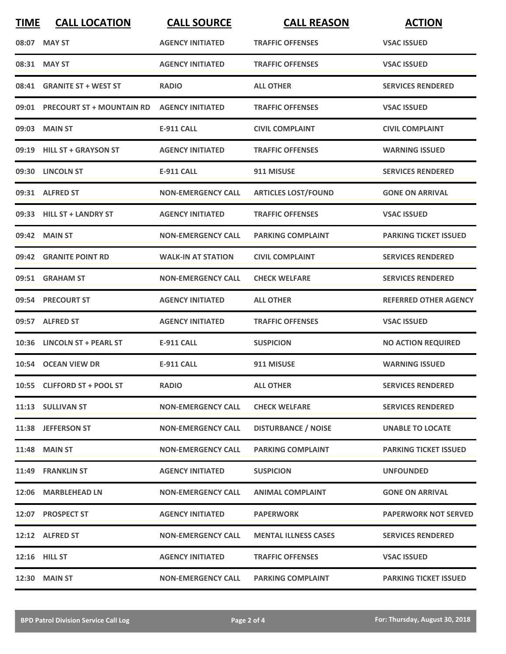| <b>TIME</b> | <b>CALL LOCATION</b>            | <b>CALL SOURCE</b>        | <b>CALL REASON</b>          | <b>ACTION</b>                |
|-------------|---------------------------------|---------------------------|-----------------------------|------------------------------|
|             | 08:07 MAY ST                    | <b>AGENCY INITIATED</b>   | <b>TRAFFIC OFFENSES</b>     | <b>VSAC ISSUED</b>           |
| 08:31       | <b>MAY ST</b>                   | <b>AGENCY INITIATED</b>   | <b>TRAFFIC OFFENSES</b>     | <b>VSAC ISSUED</b>           |
|             | 08:41 GRANITE ST + WEST ST      | <b>RADIO</b>              | <b>ALL OTHER</b>            | <b>SERVICES RENDERED</b>     |
|             | 09:01 PRECOURT ST + MOUNTAIN RD | <b>AGENCY INITIATED</b>   | <b>TRAFFIC OFFENSES</b>     | <b>VSAC ISSUED</b>           |
|             | 09:03 MAIN ST                   | <b>E-911 CALL</b>         | <b>CIVIL COMPLAINT</b>      | <b>CIVIL COMPLAINT</b>       |
|             | 09:19 HILL ST + GRAYSON ST      | <b>AGENCY INITIATED</b>   | <b>TRAFFIC OFFENSES</b>     | <b>WARNING ISSUED</b>        |
|             | 09:30 LINCOLN ST                | <b>E-911 CALL</b>         | 911 MISUSE                  | <b>SERVICES RENDERED</b>     |
|             | 09:31 ALFRED ST                 | <b>NON-EMERGENCY CALL</b> | <b>ARTICLES LOST/FOUND</b>  | <b>GONE ON ARRIVAL</b>       |
|             | 09:33 HILL ST + LANDRY ST       | <b>AGENCY INITIATED</b>   | <b>TRAFFIC OFFENSES</b>     | <b>VSAC ISSUED</b>           |
|             | 09:42 MAIN ST                   | <b>NON-EMERGENCY CALL</b> | <b>PARKING COMPLAINT</b>    | <b>PARKING TICKET ISSUED</b> |
|             | 09:42 GRANITE POINT RD          | <b>WALK-IN AT STATION</b> | <b>CIVIL COMPLAINT</b>      | <b>SERVICES RENDERED</b>     |
|             | 09:51 GRAHAM ST                 | <b>NON-EMERGENCY CALL</b> | <b>CHECK WELFARE</b>        | <b>SERVICES RENDERED</b>     |
|             | 09:54 PRECOURT ST               | <b>AGENCY INITIATED</b>   | <b>ALL OTHER</b>            | <b>REFERRED OTHER AGENCY</b> |
|             | 09:57 ALFRED ST                 | <b>AGENCY INITIATED</b>   | <b>TRAFFIC OFFENSES</b>     | <b>VSAC ISSUED</b>           |
|             | 10:36 LINCOLN ST + PEARL ST     | <b>E-911 CALL</b>         | <b>SUSPICION</b>            | <b>NO ACTION REQUIRED</b>    |
|             | 10:54 OCEAN VIEW DR             | <b>E-911 CALL</b>         | 911 MISUSE                  | <b>WARNING ISSUED</b>        |
|             | 10:55 CLIFFORD ST + POOL ST     | <b>RADIO</b>              | <b>ALL OTHER</b>            | <b>SERVICES RENDERED</b>     |
|             | 11:13 SULLIVAN ST               | <b>NON-EMERGENCY CALL</b> | <b>CHECK WELFARE</b>        | <b>SERVICES RENDERED</b>     |
|             | 11:38 JEFFERSON ST              | <b>NON-EMERGENCY CALL</b> | <b>DISTURBANCE / NOISE</b>  | <b>UNABLE TO LOCATE</b>      |
|             | <b>11:48 MAIN ST</b>            | <b>NON-EMERGENCY CALL</b> | <b>PARKING COMPLAINT</b>    | <b>PARKING TICKET ISSUED</b> |
|             | 11:49 FRANKLIN ST               | <b>AGENCY INITIATED</b>   | <b>SUSPICION</b>            | <b>UNFOUNDED</b>             |
|             | 12:06 MARBLEHEAD LN             | <b>NON-EMERGENCY CALL</b> | <b>ANIMAL COMPLAINT</b>     | <b>GONE ON ARRIVAL</b>       |
|             | 12:07 PROSPECT ST               | <b>AGENCY INITIATED</b>   | <b>PAPERWORK</b>            | <b>PAPERWORK NOT SERVED</b>  |
|             | 12:12 ALFRED ST                 | <b>NON-EMERGENCY CALL</b> | <b>MENTAL ILLNESS CASES</b> | <b>SERVICES RENDERED</b>     |
|             | 12:16 HILL ST                   | <b>AGENCY INITIATED</b>   | <b>TRAFFIC OFFENSES</b>     | <b>VSAC ISSUED</b>           |
|             | <b>12:30 MAIN ST</b>            | <b>NON-EMERGENCY CALL</b> | <b>PARKING COMPLAINT</b>    | <b>PARKING TICKET ISSUED</b> |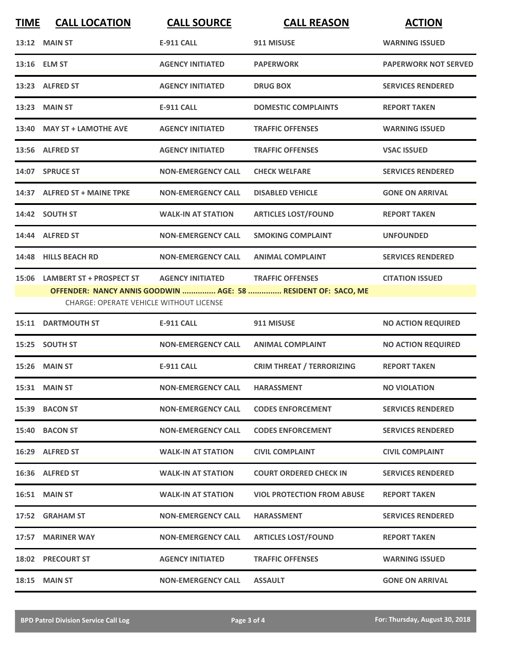| <b>TIME</b> | <b>CALL LOCATION</b>                                                             | <b>CALL SOURCE</b>        | <b>CALL REASON</b>                                                                       | <b>ACTION</b>               |
|-------------|----------------------------------------------------------------------------------|---------------------------|------------------------------------------------------------------------------------------|-----------------------------|
|             | <b>13:12 MAIN ST</b>                                                             | <b>E-911 CALL</b>         | 911 MISUSE                                                                               | <b>WARNING ISSUED</b>       |
|             | 13:16 ELM ST                                                                     | <b>AGENCY INITIATED</b>   | <b>PAPERWORK</b>                                                                         | <b>PAPERWORK NOT SERVED</b> |
|             | 13:23 ALFRED ST                                                                  | <b>AGENCY INITIATED</b>   | <b>DRUG BOX</b>                                                                          | <b>SERVICES RENDERED</b>    |
|             | 13:23 MAIN ST                                                                    | <b>E-911 CALL</b>         | <b>DOMESTIC COMPLAINTS</b>                                                               | <b>REPORT TAKEN</b>         |
|             | 13:40 MAY ST + LAMOTHE AVE                                                       | <b>AGENCY INITIATED</b>   | <b>TRAFFIC OFFENSES</b>                                                                  | <b>WARNING ISSUED</b>       |
|             | 13:56 ALFRED ST                                                                  | <b>AGENCY INITIATED</b>   | <b>TRAFFIC OFFENSES</b>                                                                  | <b>VSAC ISSUED</b>          |
|             | 14:07 SPRUCE ST                                                                  | <b>NON-EMERGENCY CALL</b> | <b>CHECK WELFARE</b>                                                                     | <b>SERVICES RENDERED</b>    |
|             | 14:37 ALFRED ST + MAINE TPKE                                                     | <b>NON-EMERGENCY CALL</b> | <b>DISABLED VEHICLE</b>                                                                  | <b>GONE ON ARRIVAL</b>      |
|             | 14:42 SOUTH ST                                                                   | <b>WALK-IN AT STATION</b> | <b>ARTICLES LOST/FOUND</b>                                                               | <b>REPORT TAKEN</b>         |
|             | 14:44 ALFRED ST                                                                  | <b>NON-EMERGENCY CALL</b> | <b>SMOKING COMPLAINT</b>                                                                 | <b>UNFOUNDED</b>            |
|             | 14:48 HILLS BEACH RD                                                             | <b>NON-EMERGENCY CALL</b> | <b>ANIMAL COMPLAINT</b>                                                                  | <b>SERVICES RENDERED</b>    |
|             | 15:06 LAMBERT ST + PROSPECT ST<br><b>CHARGE: OPERATE VEHICLE WITHOUT LICENSE</b> | <b>AGENCY INITIATED</b>   | <b>TRAFFIC OFFENSES</b><br>OFFENDER: NANCY ANNIS GOODWIN  AGE: 58  RESIDENT OF: SACO, ME | <b>CITATION ISSUED</b>      |
|             | 15:11 DARTMOUTH ST                                                               | <b>E-911 CALL</b>         | 911 MISUSE                                                                               | <b>NO ACTION REQUIRED</b>   |
|             | 15:25 SOUTH ST                                                                   | <b>NON-EMERGENCY CALL</b> | <b>ANIMAL COMPLAINT</b>                                                                  | <b>NO ACTION REQUIRED</b>   |
|             | 15:26 MAIN ST                                                                    | <b>E-911 CALL</b>         | <b>CRIM THREAT / TERRORIZING</b>                                                         | <b>REPORT TAKEN</b>         |
|             | 15:31 MAIN ST                                                                    | <b>NON-EMERGENCY CALL</b> | <b>HARASSMENT</b>                                                                        | <b>NO VIOLATION</b>         |
|             | 15:39 BACON ST                                                                   | <b>NON-EMERGENCY CALL</b> | <b>CODES ENFORCEMENT</b>                                                                 | <b>SERVICES RENDERED</b>    |
|             | 15:40 BACON ST                                                                   | <b>NON-EMERGENCY CALL</b> | <b>CODES ENFORCEMENT</b>                                                                 | <b>SERVICES RENDERED</b>    |
|             | 16:29 ALFRED ST                                                                  | <b>WALK-IN AT STATION</b> | <b>CIVIL COMPLAINT</b>                                                                   | <b>CIVIL COMPLAINT</b>      |
|             | 16:36 ALFRED ST                                                                  | <b>WALK-IN AT STATION</b> | <b>COURT ORDERED CHECK IN</b>                                                            | <b>SERVICES RENDERED</b>    |
|             | 16:51 MAIN ST                                                                    | <b>WALK-IN AT STATION</b> | <b>VIOL PROTECTION FROM ABUSE</b>                                                        | <b>REPORT TAKEN</b>         |
|             | 17:52 GRAHAM ST                                                                  | <b>NON-EMERGENCY CALL</b> | <b>HARASSMENT</b>                                                                        | <b>SERVICES RENDERED</b>    |
|             | 17:57 MARINER WAY                                                                | <b>NON-EMERGENCY CALL</b> | <b>ARTICLES LOST/FOUND</b>                                                               | <b>REPORT TAKEN</b>         |
|             | <b>18:02 PRECOURT ST</b>                                                         | <b>AGENCY INITIATED</b>   | <b>TRAFFIC OFFENSES</b>                                                                  | <b>WARNING ISSUED</b>       |
|             | <b>18:15 MAIN ST</b>                                                             | <b>NON-EMERGENCY CALL</b> | <b>ASSAULT</b>                                                                           | <b>GONE ON ARRIVAL</b>      |